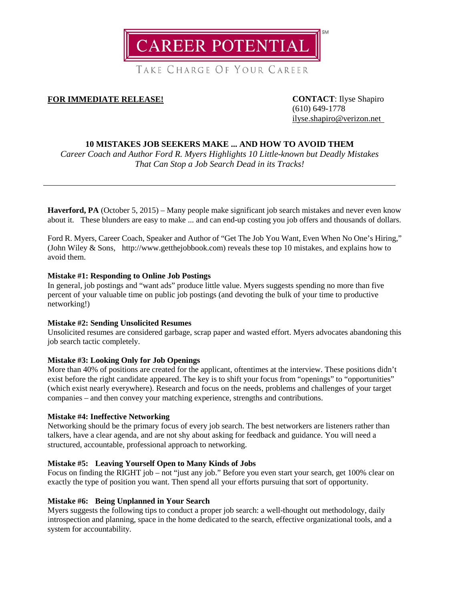

TAKE CHARGE OF YOUR CAREER

# **FOR IMMEDIATE RELEASE! CONTACT**: Ilyse Shapiro

(610) 649-1778 [ilyse.shapiro@verizon.net](mailto:ilyse.shapiro@verizon.net)

# **10 MISTAKES JOB SEEKERS MAKE ... AND HOW TO AVOID THEM**

*Career Coach and Author Ford R. Myers Highlights 10 Little-known but Deadly Mistakes That Can Stop a Job Search Dead in its Tracks!*

**Haverford, PA** (October 5, 2015) – Many people make significant job search mistakes and never even know about it. These blunders are easy to make ... and can end-up costing you job offers and thousands of dollars.

Ford R. Myers, Career Coach, Speaker and Author of "Get The Job You Want, Even When No One's Hiring," (John Wiley & Sons, http://www.getthejobbook.com) reveals these top 10 mistakes, and explains how to avoid them.

# **Mistake #1: Responding to Online Job Postings**

In general, job postings and "want ads" produce little value. Myers suggests spending no more than five percent of your valuable time on public job postings (and devoting the bulk of your time to productive networking!)

# **Mistake #2: Sending Unsolicited Resumes**

Unsolicited resumes are considered garbage, scrap paper and wasted effort. Myers advocates abandoning this job search tactic completely.

# **Mistake #3: Looking Only for Job Openings**

More than 40% of positions are created for the applicant, oftentimes at the interview. These positions didn't exist before the right candidate appeared. The key is to shift your focus from "openings" to "opportunities" (which exist nearly everywhere). Research and focus on the needs, problems and challenges of your target companies – and then convey your matching experience, strengths and contributions.

#### **Mistake #4: Ineffective Networking**

Networking should be the primary focus of every job search. The best networkers are listeners rather than talkers, have a clear agenda, and are not shy about asking for feedback and guidance. You will need a structured, accountable, professional approach to networking.

# **Mistake #5: Leaving Yourself Open to Many Kinds of Jobs**

Focus on finding the RIGHT job – not "just any job." Before you even start your search, get 100% clear on exactly the type of position you want. Then spend all your efforts pursuing that sort of opportunity.

# **Mistake #6: Being Unplanned in Your Search**

Myers suggests the following tips to conduct a proper job search: a well-thought out methodology, daily introspection and planning, space in the home dedicated to the search, effective organizational tools, and a system for accountability.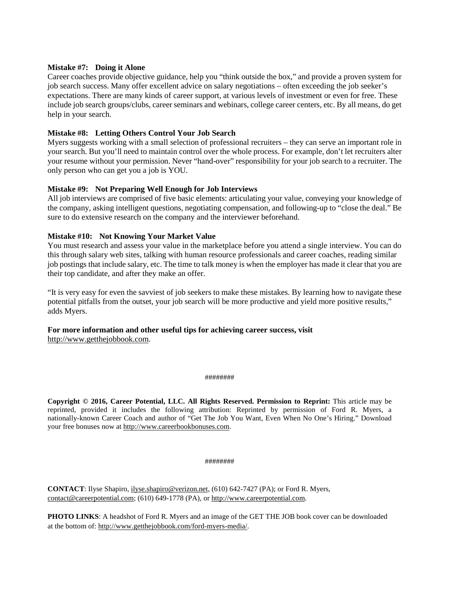### **Mistake #7: Doing it Alone**

Career coaches provide objective guidance, help you "think outside the box," and provide a proven system for job search success. Many offer excellent advice on salary negotiations – often exceeding the job seeker's expectations. There are many kinds of career support, at various levels of investment or even for free. These include job search groups/clubs, career seminars and webinars, college career centers, etc. By all means, do get help in your search.

# **Mistake #8: Letting Others Control Your Job Search**

Myers suggests working with a small selection of professional recruiters – they can serve an important role in your search. But you'll need to maintain control over the whole process. For example, don't let recruiters alter your resume without your permission. Never "hand-over" responsibility for your job search to a recruiter. The only person who can get you a job is YOU.

### **Mistake #9: Not Preparing Well Enough for Job Interviews**

All job interviews are comprised of five basic elements: articulating your value, conveying your knowledge of the company, asking intelligent questions, negotiating compensation, and following-up to "close the deal." Be sure to do extensive research on the company and the interviewer beforehand.

### **Mistake #10: Not Knowing Your Market Value**

You must research and assess your value in the marketplace before you attend a single interview. You can do this through salary web sites, talking with human resource professionals and career coaches, reading similar job postings that include salary, etc. The time to talk money is when the employer has made it clear that you are their top candidate, and after they make an offer.

"It is very easy for even the savviest of job seekers to make these mistakes. By learning how to navigate these potential pitfalls from the outset, your job search will be more productive and yield more positive results," adds Myers.

#### **For more information and other useful tips for achieving career success, visit** [http://www.getthejobbook.com.](http://www.getthejobbook.com/)

#### ########

**Copyright © 2016, Career Potential, LLC. All Rights Reserved. Permission to Reprint:** This article may be reprinted, provided it includes the following attribution: Reprinted by permission of Ford R. Myers, a nationally-known Career Coach and author of "Get The Job You Want, Even When No One's Hiring." Download your free bonuses now at [http://www.careerbookbonuses.com.](http://www.careerbookbonuses.com/)

#### ########

**CONTACT**: Ilyse Shapiro, [ilyse.shapiro@verizon.net,](mailto:ilyse.shapiro@verizon.net) (610) 642-7427 (PA); or Ford R. Myers, [contact@careerpotential.com;](mailto:contact@careerpotential.com) (610) 649-1778 (PA), o[r http://www.careerpotential.com.](http://www.careerpotential.com/)

**PHOTO LINKS**: A headshot of Ford R. Myers and an image of the GET THE JOB book cover can be downloaded at the bottom of[: http://www.getthejobbook.com/ford-myers-media/.](http://www.getthejobbook.com/ford-myers-media/)